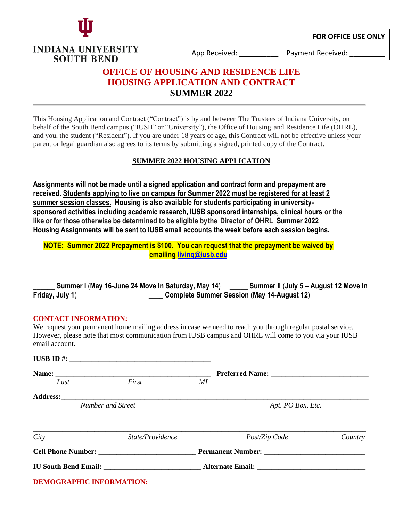



App Received: ether are responsed Payment Received:

# **OFFICE OF HOUSING AND RESIDENCE LIFE HOUSING APPLICATION AND CONTRACT SUMMER 2022**

This Housing Application and Contract ("Contract") is by and between The Trustees of Indiana University, on behalf of the South Bend campus ("IUSB" or "University"), the Office of Housing and Residence Life (OHRL), and you, the student ("Resident"). If you are under 18 years of age, this Contract will not be effective unless your parent or legal guardian also agrees to its terms by submitting a signed, printed copy of the Contract.

# **SUMMER 2022 HOUSING APPLICATION**

**Assignments will not be made until a signed application and contract form and prepayment are received. Students applying to live on campus for Summer 2022 must be registered for at least 2 summer session classes. Housing is also available for students participating in universitysponsored activities including academic research, IUSB sponsored internships, clinical hours or the like or for those otherwise be determined to be eligible by the Director of OHRL Summer 2022 Housing Assignments will be sent to IUSB email accounts the week before each session begins.**

# **NOTE: Summer 2022 Prepayment is \$100. You can request that the prepayment be waived by emailing [living@iusb.edu](mailto:living@iusb.edu)**

|                 | <sub>-</sub> Summer I (May 16-June 24 Move In Saturday, May 14) | Summer II (July 5 – August 12 Move In      |
|-----------------|-----------------------------------------------------------------|--------------------------------------------|
| Friday, July 1) |                                                                 | Complete Summer Session (May 14-August 12) |

## **CONTACT INFORMATION:**

We request your permanent home mailing address in case we need to reach you through regular postal service. However, please note that most communication from IUSB campus and OHRL will come to you via your IUSB email account.

|                                                                                                                                                                                                                                     | $IUSB ID \#$     |                   |               |         |  |
|-------------------------------------------------------------------------------------------------------------------------------------------------------------------------------------------------------------------------------------|------------------|-------------------|---------------|---------|--|
|                                                                                                                                                                                                                                     |                  |                   |               |         |  |
| Last                                                                                                                                                                                                                                | First            | МI                |               |         |  |
|                                                                                                                                                                                                                                     |                  |                   |               |         |  |
| Number and Street                                                                                                                                                                                                                   |                  | Apt. PO Box, Etc. |               |         |  |
|                                                                                                                                                                                                                                     |                  |                   |               |         |  |
| City                                                                                                                                                                                                                                | State/Providence |                   | Post/Zip Code | Country |  |
| <b>Cell Phone Number:</b> The Contract of the Manual School and The Contract of the Contract of the Contract of the Contract of the Contract of the Contract of the Contract of the Contract of the Contract of the Contract of the |                  |                   |               |         |  |
|                                                                                                                                                                                                                                     |                  |                   |               |         |  |
| <b>DEMOGRAPHIC INFORMATION:</b>                                                                                                                                                                                                     |                  |                   |               |         |  |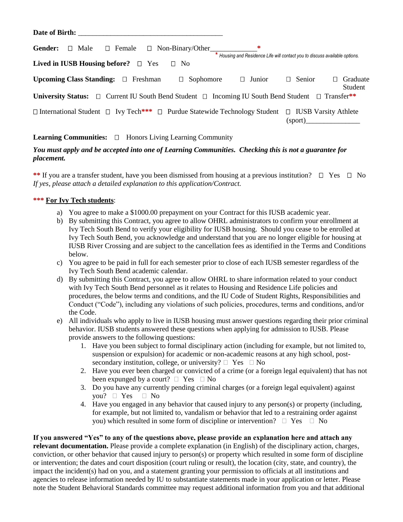| Date of Birth: The Second Second Second Second Second Second Second Second Second Second Second Second Second Second Second Second Second Second Second Second Second Second Second Second Second Second Second Second Second |                                                                             |
|-------------------------------------------------------------------------------------------------------------------------------------------------------------------------------------------------------------------------------|-----------------------------------------------------------------------------|
| ∗<br>Gender:<br>$\Box$ Female $\Box$ Non-Binary/Other<br>$\Box$ Male                                                                                                                                                          | * Housing and Residence Life will contact you to discuss available options. |
| Lived in IUSB Housing before? $\Box$ Yes<br>$\Box$ No                                                                                                                                                                         |                                                                             |
| <b>Upcoming Class Standing:</b> $\Box$ Freshman<br>$\Box$ Junior<br>Sophomore<br>$\Box$                                                                                                                                       | $\Box$ Senior<br>Graduate<br>$\Box$<br>Student                              |
| <b>University Status:</b> $\Box$ Current IU South Bend Student $\Box$ Incoming IU South Bend Student $\Box$ Transfer <sup>**</sup>                                                                                            |                                                                             |
| $\Box$ International Student $\Box$ Ivy Tech <sup>***</sup> $\Box$ Purdue Statewide Technology Student $\Box$ IUSB Varsity Athlete                                                                                            |                                                                             |

# Learning Communities: □ Honors Living Learning Community

## *You must apply and be accepted into one of Learning Communities. Checking this is not a guarantee for placement.*

\*\* If you are a transfer student, have you been dismissed from housing at a previous institution?  $\Box$  Yes  $\Box$  No *If yes, please attach a detailed explanation to this application/Contract.*

#### **\*\*\* For Ivy Tech students**:

- a) You agree to make a \$1000.00 prepayment on your Contract for this IUSB academic year.
- b) By submitting this Contract, you agree to allow OHRL administrators to confirm your enrollment at Ivy Tech South Bend to verify your eligibility for IUSB housing. Should you cease to be enrolled at Ivy Tech South Bend, you acknowledge and understand that you are no longer eligible for housing at IUSB River Crossing and are subject to the cancellation fees as identified in the Terms and Conditions below.
- c) You agree to be paid in full for each semester prior to close of each IUSB semester regardless of the Ivy Tech South Bend academic calendar.
- d) By submitting this Contract, you agree to allow OHRL to share information related to your conduct with Ivy Tech South Bend personnel as it relates to Housing and Residence Life policies and procedures, the below terms and conditions, and the IU Code of Student Rights, Responsibilities and Conduct ("Code"), including any violations of such policies, procedures, terms and conditions, and/or the Code.
- e) All individuals who apply to live in IUSB housing must answer questions regarding their prior criminal behavior. IUSB students answered these questions when applying for admission to IUSB. Please provide answers to the following questions:
	- 1. Have you been subject to formal disciplinary action (including for example, but not limited to, suspension or expulsion) for academic or non-academic reasons at any high school, postsecondary institution, college, or university?  $\Box$  Yes  $\Box$  No
	- 2. Have you ever been charged or convicted of a crime (or a foreign legal equivalent) that has not been expunged by a court?  $\Box$  Yes  $\Box$  No
	- 3. Do you have any currently pending criminal charges (or a foreign legal equivalent) against you?  $\Box$  Yes  $\Box$  No
	- 4. Have you engaged in any behavior that caused injury to any person(s) or property (including, for example, but not limited to, vandalism or behavior that led to a restraining order against you) which resulted in some form of discipline or intervention?  $\Box$  Yes  $\Box$  No

**If you answered "Yes" to any of the questions above, please provide an explanation here and attach any relevant documentation.** Please provide a complete explanation (in English) of the disciplinary action, charges, conviction, or other behavior that caused injury to person(s) or property which resulted in some form of discipline or intervention; the dates and court disposition (court ruling or result), the location (city, state, and country), the impact the incident(s) had on you, and a statement granting your permission to officials at all institutions and agencies to release information needed by IU to substantiate statements made in your application or letter. Please note the Student Behavioral Standards committee may request additional information from you and that additional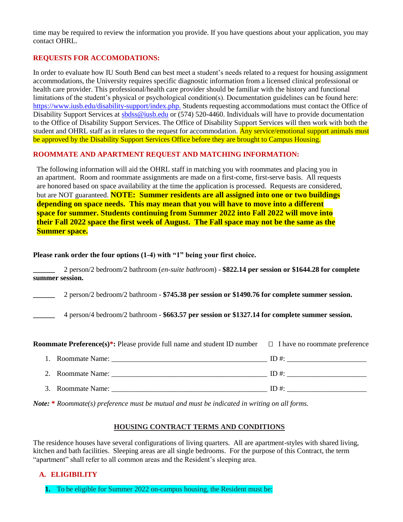time may be required to review the information you provide. If you have questions about your application, you may contact OHRL.

#### **REQUESTS FOR ACCOMODATIONS:**

In order to evaluate how IU South Bend can best meet a student's needs related to a request for housing assignment accommodations, the University requires specific diagnostic information from a licensed clinical professional or health care provider. This professional/health care provider should be familiar with the history and functional limitations of the student's physical or psychological condition(s). Documentation guidelines can be found here: [https://www.iusb.edu/disability-support/index.php.](https://www.iusb.edu/disability-support/index.php) Students requesting accommodations must contact the Office of Disability Support Services at [sbdss@iusb.edu](mailto:sbdss@iusb.edu) or (574) 520-4460. Individuals will have to provide documentation to the Office of Disability Support Services. The Office of Disability Support Services will then work with both the student and OHRL staff as it relates to the request for accommodation. Any service/emotional support animals must be approved by the Disability Support Services Office before they are brought to Campus Housing.

#### **ROOMMATE AND APARTMENT REQUEST AND MATCHING INFORMATION:**

The following information will aid the OHRL staff in matching you with roommates and placing you in an apartment. Room and roommate assignments are made on a first-come, first-serve basis. All requests are honored based on space availability at the time the application is processed. Requests are considered, but are NOT guaranteed. **NOTE: Summer residents are all assigned into one or two buildings depending on space needs. This may mean that you will have to move into a different space for summer. Students continuing from Summer 2022 into Fall 2022 will move into their Fall 2022 space the first week of August. The Fall space may not be the same as the Summer space.**

#### **Please rank order the four options (1-4) with "1" being your first choice.**

**\_\_\_\_\_\_** 2 person/2 bedroom/2 bathroom (*en-suite bathroom*) - **\$822.14 per session or \$1644.28 for complete summer session.**

**\_\_\_\_\_\_** 2 person/2 bedroom/2 bathroom - **\$745.38 per session or \$1490.76 for complete summer session.**

**\_\_\_\_\_\_** 4 person/4 bedroom/2 bathroom - **\$663.57 per session or \$1327.14 for complete summer session.**

| <b>Roommate Preference(s)*:</b> Please provide full name and student ID number $\Box$ I have no roommate preference |                   |         |
|---------------------------------------------------------------------------------------------------------------------|-------------------|---------|
|                                                                                                                     |                   |         |
|                                                                                                                     |                   | $ID \#$ |
|                                                                                                                     | 3. Roommate Name: | $ID \#$ |

*Note:* **\*** *Roommate(s) preference must be mutual and must be indicated in writing on all forms.*

#### **HOUSING CONTRACT TERMS AND CONDITIONS**

The residence houses have several configurations of living quarters. All are apartment-styles with shared living, kitchen and bath facilities. Sleeping areas are all single bedrooms. For the purpose of this Contract, the term "apartment" shall refer to all common areas and the Resident's sleeping area.

#### **A. ELIGIBILITY**

**1.** To be eligible for Summer 2022 on-campus housing, the Resident must be: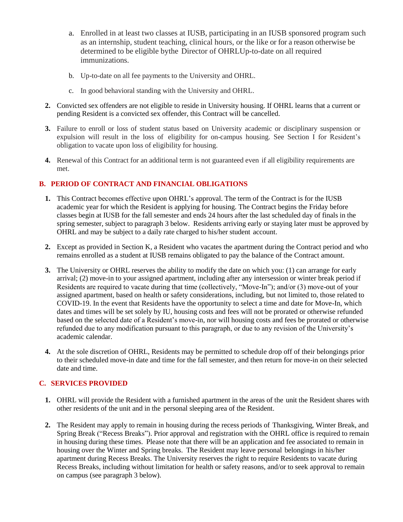- a. Enrolled in at least two classes at IUSB, participating in an IUSB sponsored program such as an internship, student teaching, clinical hours, or the like or for a reason otherwise be determined to be eligible bythe Director of OHRLUp-to-date on all required immunizations.
- b. Up-to-date on all fee payments to the University and OHRL.
- c. In good behavioral standing with the University and OHRL.
- **2.** Convicted sex offenders are not eligible to reside in University housing. If OHRL learns that a current or pending Resident is a convicted sex offender, this Contract will be cancelled.
- **3.** Failure to enroll or loss of student status based on University academic or disciplinary suspension or expulsion will result in the loss of eligibility for on-campus housing. See Section I for Resident's obligation to vacate upon loss of eligibility for housing.
- **4.** Renewal of this Contract for an additional term is not guaranteed even if all eligibility requirements are met.

## **B. PERIOD OF CONTRACT AND FINANCIAL OBLIGATIONS**

- **1.** This Contract becomes effective upon OHRL's approval. The term of the Contract is for the IUSB academic year for which the Resident is applying for housing. The Contract begins the Friday before classes begin at IUSB for the fall semester and ends 24 hours after the last scheduled day of finals in the spring semester, subject to paragraph 3 below. Residents arriving early or staying later must be approved by OHRL and may be subject to a daily rate charged to his/her student account.
- **2.** Except as provided in Section K, a Resident who vacates the apartment during the Contract period and who remains enrolled as a student at IUSB remains obligated to pay the balance of the Contract amount.
- **3.** The University or OHRL reserves the ability to modify the date on which you: (1) can arrange for early arrival; (2) move-in to your assigned apartment, including after any intersession or winter break period if Residents are required to vacate during that time (collectively, "Move-In"); and/or (3) move-out of your assigned apartment, based on health or safety considerations, including, but not limited to, those related to COVID-19. In the event that Residents have the opportunity to select a time and date for Move-In, which dates and times will be set solely by IU, housing costs and fees will not be prorated or otherwise refunded based on the selected date of a Resident's move-in, nor will housing costs and fees be prorated or otherwise refunded due to any modification pursuant to this paragraph, or due to any revision of the University's academic calendar.
- **4.** At the sole discretion of OHRL, Residents may be permitted to schedule drop off of their belongings prior to their scheduled move-in date and time for the fall semester, and then return for move-in on their selected date and time.

## **C. SERVICES PROVIDED**

- **1.** OHRL will provide the Resident with a furnished apartment in the areas of the unit the Resident shares with other residents of the unit and in the personal sleeping area of the Resident.
- **2.** The Resident may apply to remain in housing during the recess periods of Thanksgiving, Winter Break, and Spring Break ("Recess Breaks"). Prior approval and registration with the OHRL office is required to remain in housing during these times. Please note that there will be an application and fee associated to remain in housing over the Winter and Spring breaks. The Resident may leave personal belongings in his/her apartment during Recess Breaks. The University reserves the right to require Residents to vacate during Recess Breaks, including without limitation for health or safety reasons, and/or to seek approval to remain on campus (see paragraph 3 below).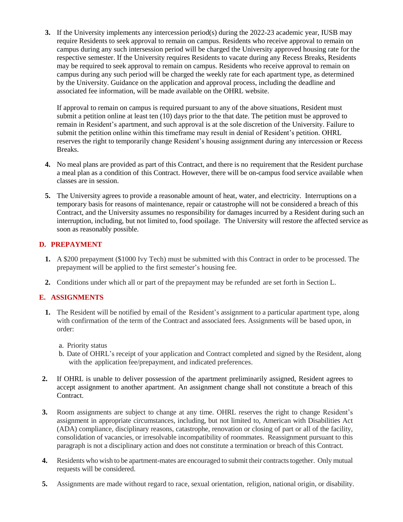**3.** If the University implements any intercession period(s) during the 2022-23 academic year, IUSB may require Residents to seek approval to remain on campus. Residents who receive approval to remain on campus during any such intersession period will be charged the University approved housing rate for the respective semester. If the University requires Residents to vacate during any Recess Breaks, Residents may be required to seek approval to remain on campus. Residents who receive approval to remain on campus during any such period will be charged the weekly rate for each apartment type, as determined by the University. Guidance on the application and approval process, including the deadline and associated fee information, will be made available on the OHRL website.

If approval to remain on campus is required pursuant to any of the above situations, Resident must submit a petition online at least ten (10) days prior to the that date. The petition must be approved to remain in Resident's apartment, and such approval is at the sole discretion of the University. Failure to submit the petition online within this timeframe may result in denial of Resident's petition. OHRL reserves the right to temporarily change Resident's housing assignment during any intercession or Recess Breaks.

- **4.** No meal plans are provided as part of this Contract, and there is no requirement that the Resident purchase a meal plan as a condition of this Contract. However, there will be on-campus food service available when classes are in session.
- **5.** The University agrees to provide a reasonable amount of heat, water, and electricity. Interruptions on a temporary basis for reasons of maintenance, repair or catastrophe will not be considered a breach of this Contract, and the University assumes no responsibility for damages incurred by a Resident during such an interruption, including, but not limited to, food spoilage. The University will restore the affected service as soon as reasonably possible.

## **D. PREPAYMENT**

- **1.** A \$200 prepayment (\$1000 Ivy Tech) must be submitted with this Contract in order to be processed. The prepayment will be applied to the first semester's housing fee.
- **2.** Conditions under which all or part of the prepayment may be refunded are set forth in Section L.

## **E. ASSIGNMENTS**

- **1.** The Resident will be notified by email of the Resident's assignment to a particular apartment type, along with confirmation of the term of the Contract and associated fees. Assignments will be based upon, in order:
	- a. Priority status
	- b. Date of OHRL's receipt of your application and Contract completed and signed by the Resident, along with the application fee/prepayment, and indicated preferences.
- **2.** If OHRL is unable to deliver possession of the apartment preliminarily assigned, Resident agrees to accept assignment to another apartment. An assignment change shall not constitute a breach of this Contract.
- **3.** Room assignments are subject to change at any time. OHRL reserves the right to change Resident's assignment in appropriate circumstances, including, but not limited to, American with Disabilities Act (ADA) compliance, disciplinary reasons, catastrophe, renovation or closing of part or all of the facility, consolidation of vacancies, or irresolvable incompatibility of roommates. Reassignment pursuant to this paragraph is not a disciplinary action and does not constitute a termination or breach of this Contract.
- **4.** Residents who wish to be apartment-mates are encouraged to submit their contracts together. Only mutual requests will be considered.
- **5.** Assignments are made without regard to race, sexual orientation, religion, national origin, or disability.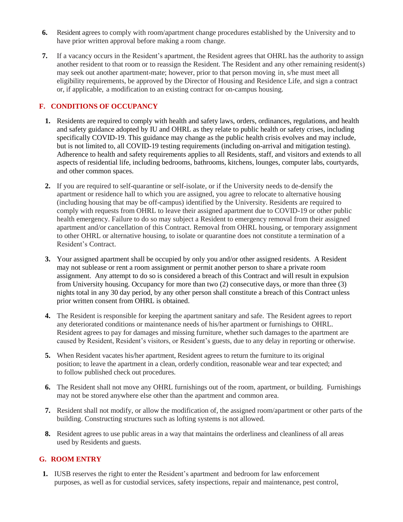- **6.** Resident agrees to comply with room/apartment change procedures established by the University and to have prior written approval before making a room change.
- **7.** If a vacancy occurs in the Resident's apartment, the Resident agrees that OHRL has the authority to assign another resident to that room or to reassign the Resident. The Resident and any other remaining resident(s) may seek out another apartment-mate; however, prior to that person moving in, s/he must meet all eligibility requirements, be approved by the Director of Housing and Residence Life, and sign a contract or, if applicable, a modification to an existing contract for on-campus housing.

# **F. CONDITIONS OF OCCUPANCY**

- **1.** Residents are required to comply with health and safety laws, orders, ordinances, regulations, and health and safety guidance adopted by IU and OHRL as they relate to public health or safety crises, including specifically COVID-19. This guidance may change as the public health crisis evolves and may include, but is not limited to, all COVID-19 testing requirements (including on-arrival and mitigation testing). Adherence to health and safety requirements applies to all Residents, staff, and visitors and extends to all aspects of residential life, including bedrooms, bathrooms, kitchens, lounges, computer labs, courtyards, and other common spaces.
- **2.** If you are required to self-quarantine or self-isolate, or if the University needs to de-densify the apartment or residence hall to which you are assigned, you agree to relocate to alternative housing (including housing that may be off-campus) identified by the University. Residents are required to comply with requests from OHRL to leave their assigned apartment due to COVID-19 or other public health emergency. Failure to do so may subject a Resident to emergency removal from their assigned apartment and/or cancellation of this Contract. Removal from OHRL housing, or temporary assignment to other OHRL or alternative housing, to isolate or quarantine does not constitute a termination of a Resident's Contract.
- **3.** Your assigned apartment shall be occupied by only you and/or other assigned residents. A Resident may not sublease or rent a room assignment or permit another person to share a private room assignment. Any attempt to do so is considered a breach of this Contract and will result in expulsion from University housing. Occupancy for more than two (2) consecutive days, or more than three (3) nights total in any 30 day period, by any other person shall constitute a breach of this Contract unless prior written consent from OHRL is obtained.
- **4.** The Resident is responsible for keeping the apartment sanitary and safe. The Resident agrees to report any deteriorated conditions or maintenance needs of his/her apartment or furnishings to OHRL. Resident agrees to pay for damages and missing furniture, whether such damages to the apartment are caused by Resident, Resident's visitors, or Resident's guests, due to any delay in reporting or otherwise.
- **5.** When Resident vacates his/her apartment, Resident agrees to return the furniture to its original position; to leave the apartment in a clean, orderly condition, reasonable wear and tear expected; and to follow published check out procedures.
- **6.** The Resident shall not move any OHRL furnishings out of the room, apartment, or building. Furnishings may not be stored anywhere else other than the apartment and common area.
- **7.** Resident shall not modify, or allow the modification of, the assigned room/apartment or other parts of the building. Constructing structures such as lofting systems is not allowed.
- **8.** Resident agrees to use public areas in a way that maintains the orderliness and cleanliness of all areas used by Residents and guests.

#### **G. ROOM ENTRY**

**1.** IUSB reserves the right to enter the Resident's apartment and bedroom for law enforcement purposes, as well as for custodial services, safety inspections, repair and maintenance, pest control,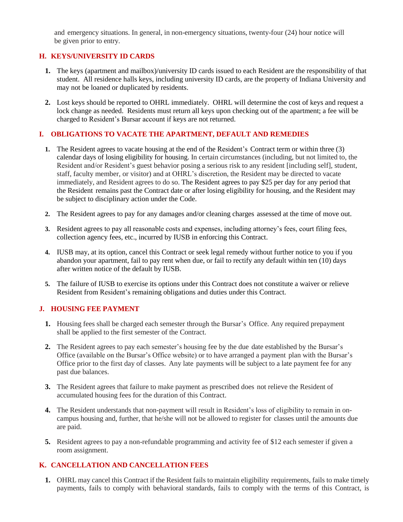and emergency situations. In general, in non-emergency situations, twenty-four (24) hour notice will be given prior to entry.

## **H. KEYS/UNIVERSITY ID CARDS**

- **1.** The keys (apartment and mailbox)/university ID cards issued to each Resident are the responsibility of that student. All residence halls keys, including university ID cards, are the property of Indiana University and may not be loaned or duplicated by residents.
- **2.** Lost keys should be reported to OHRL immediately. OHRL will determine the cost of keys and request a lock change as needed. Residents must return all keys upon checking out of the apartment; a fee will be charged to Resident's Bursar account if keys are not returned.

## **I. OBLIGATIONS TO VACATE THE APARTMENT, DEFAULT AND REMEDIES**

- **1.** The Resident agrees to vacate housing at the end of the Resident's Contract term or within three (3) calendar days of losing eligibility for housing. In certain circumstances (including, but not limited to, the Resident and/or Resident's guest behavior posing a serious risk to any resident [including self], student, staff, faculty member, or visitor) and at OHRL's discretion, the Resident may be directed to vacate immediately, and Resident agrees to do so. The Resident agrees to pay \$25 per day for any period that the Resident remains past the Contract date or after losing eligibility for housing, and the Resident may be subject to disciplinary action under the Code.
- **2.** The Resident agrees to pay for any damages and/or cleaning charges assessed at the time of move out.
- **3.** Resident agrees to pay all reasonable costs and expenses, including attorney's fees, court filing fees, collection agency fees, etc., incurred by IUSB in enforcing this Contract.
- **4.** IUSB may, at its option, cancel this Contract or seek legal remedy without further notice to you if you abandon your apartment, fail to pay rent when due, or fail to rectify any default within ten (10) days after written notice of the default by IUSB.
- **5.** The failure of IUSB to exercise its options under this Contract does not constitute a waiver or relieve Resident from Resident's remaining obligations and duties under this Contract.

## **J. HOUSING FEE PAYMENT**

- **1.** Housing fees shall be charged each semester through the Bursar's Office. Any required prepayment shall be applied to the first semester of the Contract.
- **2.** The Resident agrees to pay each semester's housing fee by the due date established by the Bursar's Office (available on the Bursar's Office website) or to have arranged a payment plan with the Bursar's Office prior to the first day of classes. Any late payments will be subject to a late payment fee for any past due balances.
- **3.** The Resident agrees that failure to make payment as prescribed does not relieve the Resident of accumulated housing fees for the duration of this Contract.
- **4.** The Resident understands that non-payment will result in Resident's loss of eligibility to remain in oncampus housing and, further, that he/she will not be allowed to register for classes until the amounts due are paid.
- **5.** Resident agrees to pay a non-refundable programming and activity fee of \$12 each semester if given a room assignment.

## **K. CANCELLATION AND CANCELLATION FEES**

**1.** OHRL may cancel this Contract if the Resident fails to maintain eligibility requirements, fails to make timely payments, fails to comply with behavioral standards, fails to comply with the terms of this Contract, is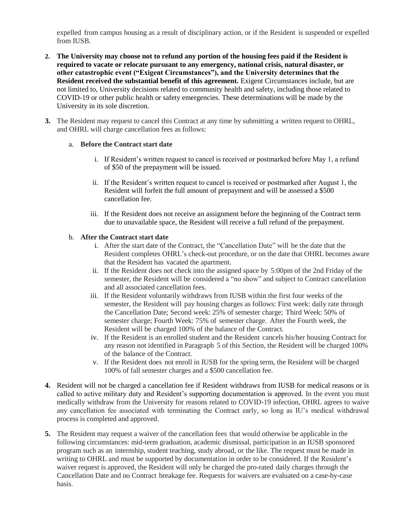expelled from campus housing as a result of disciplinary action, or if the Resident is suspended or expelled from IUSB.

- **2. The University may choose not to refund any portion of the housing fees paid if the Resident is required to vacate or relocate pursuant to any emergency, national crisis, natural disaster, or other catastrophic event ("Exigent Circumstances"), and the University determines that the Resident received the substantial benefit of this agreement.** Exigent Circumstances include, but are not limited to, University decisions related to community health and safety, including those related to COVID-19 or other public health or safety emergencies. These determinations will be made by the University in its sole discretion.
- **3.** The Resident may request to cancel this Contract at any time by submitting a written request to OHRL, and OHRL will charge cancellation fees as follows:

#### a. **Before the Contract start date**

- i. If Resident's written request to cancel is received or postmarked before May 1, a refund of \$50 of the prepayment will be issued.
- ii. If the Resident's written request to cancel is received or postmarked after August 1, the Resident will forfeit the full amount of prepayment and will be assessed a \$500 cancellation fee.
- iii. If the Resident does not receive an assignment before the beginning of the Contract term due to unavailable space, the Resident will receive a full refund of the prepayment.

#### b. **After the Contract start date**

- i. After the start date of the Contract, the "Cancellation Date" will be the date that the Resident completes OHRL's check-out procedure, or on the date that OHRL becomes aware that the Resident has vacated the apartment.
- ii. If the Resident does not check into the assigned space by 5:00pm of the 2nd Friday of the semester, the Resident will be considered a "no show" and subject to Contract cancellation and all associated cancellation fees.
- iii. If the Resident voluntarily withdraws from IUSB within the first four weeks of the semester, the Resident will pay housing charges as follows: First week: daily rate through the Cancellation Date; Second week: 25% of semester charge; Third Week: 50% of semester charge; Fourth Week: 75% of semester charge. After the Fourth week, the Resident will be charged 100% of the balance of the Contract.
- iv. If the Resident is an enrolled student and the Resident cancels his/her housing Contract for any reason not identified in Paragraph 5 of this Section, the Resident will be charged 100% of the balance of the Contract.
- v. If the Resident does not enroll in IUSB for the spring term, the Resident will be charged 100% of fall semester charges and a \$500 cancellation fee.
- **4.** Resident will not be charged a cancellation fee if Resident withdraws from IUSB for medical reasons or is called to active military duty and Resident's supporting documentation is approved. In the event you must medically withdraw from the University for reasons related to COVID-19 infection, OHRL agrees to waive any cancellation fee associated with terminating the Contract early, so long as IU's medical withdrawal process is completed and approved.
- **5.** The Resident may request a waiver of the cancellation fees that would otherwise be applicable in the following circumstances: mid-term graduation, academic dismissal, participation in an IUSB sponsored program such as an internship, student teaching, study abroad, or the like. The request must be made in writing to OHRL and must be supported by documentation in order to be considered. If the Resident's waiver request is approved, the Resident will only be charged the pro-rated daily charges through the Cancellation Date and no Contract breakage fee. Requests for waivers are evaluated on a case-by-case basis.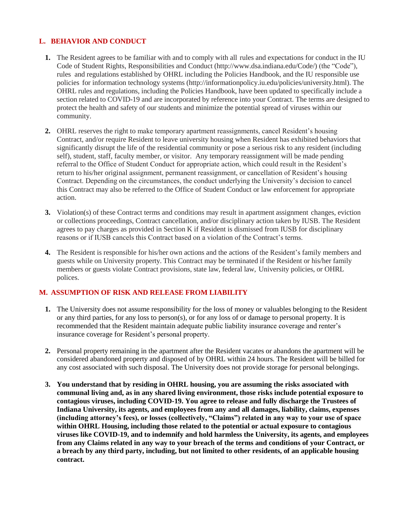## **L. BEHAVIOR AND CONDUCT**

- **1.** The Resident agrees to be familiar with and to comply with all rules and expectations for conduct in the IU Code of Student Rights, Responsibilities and Conduct [\(http://www.dsa.indiana.edu/Code/\)](http://www.dsa.indiana.edu/Code/)) (the "Code"), rules and regulations established by OHRL including the Policies Handbook, and the IU responsible use policies for information technology systems [\(http://informationpolicy.iu.edu/p](http://informationpolicy.iu.edu/)olicies/university.html). The OHRL rules and regulations, including the Policies Handbook, have been updated to specifically include a section related to COVID-19 and are incorporated by reference into your Contract. The terms are designed to protect the health and safety of our students and minimize the potential spread of viruses within our community.
- **2.** OHRL reserves the right to make temporary apartment reassignments, cancel Resident's housing Contract, and/or require Resident to leave university housing when Resident has exhibited behaviors that significantly disrupt the life of the residential community or pose a serious risk to any resident (including self), student, staff, faculty member, or visitor. Any temporary reassignment will be made pending referral to the Office of Student Conduct for appropriate action, which could result in the Resident's return to his/her original assignment, permanent reassignment, or cancellation of Resident's housing Contract. Depending on the circumstances, the conduct underlying the University's decision to cancel this Contract may also be referred to the Office of Student Conduct or law enforcement for appropriate action.
- **3.** Violation(s) of these Contract terms and conditions may result in apartment assignment changes, eviction or collections proceedings, Contract cancellation, and/or disciplinary action taken by IUSB. The Resident agrees to pay charges as provided in Section K if Resident is dismissed from IUSB for disciplinary reasons or if IUSB cancels this Contract based on a violation of the Contract's terms.
- **4.** The Resident is responsible for his/her own actions and the actions of the Resident's family members and guests while on University property. This Contract may be terminated if the Resident or his/her family members or guests violate Contract provisions, state law, federal law, University policies, or OHRL polices.

## **M. ASSUMPTION OF RISK AND RELEASE FROM LIABILITY**

- **1.** The University does not assume responsibility for the loss of money or valuables belonging to the Resident or any third parties, for any loss to person(s), or for any loss of or damage to personal property. It is recommended that the Resident maintain adequate public liability insurance coverage and renter's insurance coverage for Resident's personal property.
- **2.** Personal property remaining in the apartment after the Resident vacates or abandons the apartment will be considered abandoned property and disposed of by OHRL within 24 hours. The Resident will be billed for any cost associated with such disposal. The University does not provide storage for personal belongings.
- **3. You understand that by residing in OHRL housing, you are assuming the risks associated with communal living and, as in any shared living environment, those risks include potential exposure to contagious viruses, including COVID-19. You agree to release and fully discharge the Trustees of Indiana University, its agents, and employees from any and all damages, liability, claims, expenses (including attorney's fees), or losses (collectively, "Claims") related in any way to your use of space within OHRL Housing, including those related to the potential or actual exposure to contagious viruses like COVID-19, and to indemnify and hold harmless the University, its agents, and employees from any Claims related in any way to your breach of the terms and conditions of your Contract, or a breach by any third party, including, but not limited to other residents, of an applicable housing contract.**